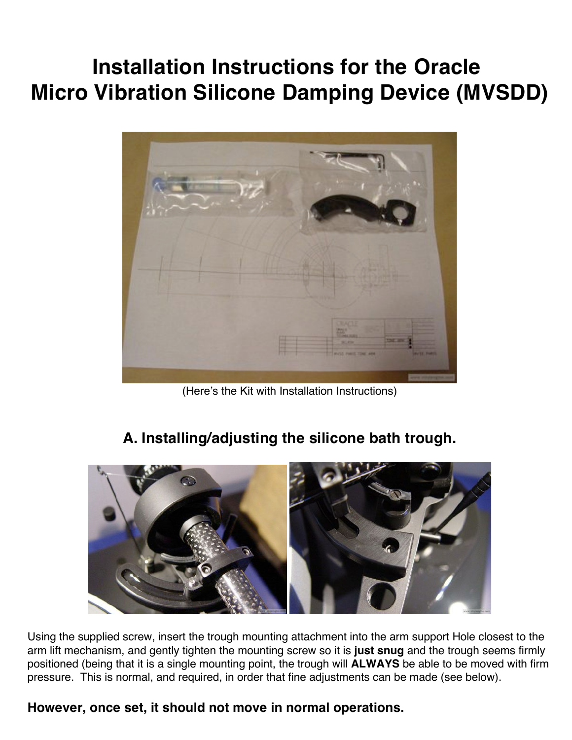# **Installation Instructions for the Oracle Micro Vibration Silicone Damping Device (MVSDD)**



(Here's the Kit with Installation Instructions)

## **A. Installing/adjusting the silicone bath trough.**



Using the supplied screw, insert the trough mounting attachment into the arm support Hole closest to the arm lift mechanism, and gently tighten the mounting screw so it is **just snug** and the trough seems firmly positioned (being that it is a single mounting point, the trough will **ALWAYS** be able to be moved with firm pressure. This is normal, and required, in order that fine adjustments can be made (see below).

#### **However, once set, it should not move in normal operations.**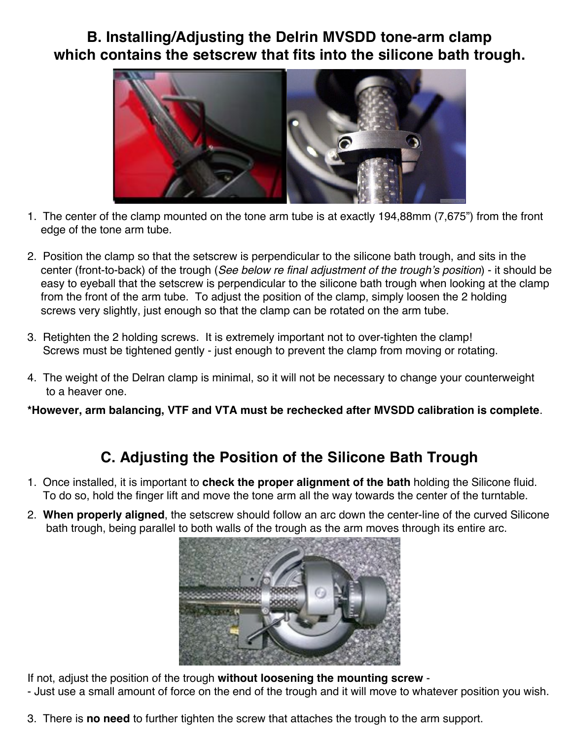### **B. Installing/Adjusting the Delrin MVSDD tone-arm clamp which contains the setscrew that fits into the silicone bath trough.**



- 1. The center of the clamp mounted on the tone arm tube is at exactly 194,88mm (7,675") from the front edge of the tone arm tube.
- 2. Position the clamp so that the setscrew is perpendicular to the silicone bath trough, and sits in the center (front-to-back) of the trough (*See below re final adjustment of the trough's position*) - it should be easy to eyeball that the setscrew is perpendicular to the silicone bath trough when looking at the clamp from the front of the arm tube. To adjust the position of the clamp, simply loosen the 2 holding screws very slightly, just enough so that the clamp can be rotated on the arm tube.
- 3. Retighten the 2 holding screws. It is extremely important not to over-tighten the clamp! Screws must be tightened gently - just enough to prevent the clamp from moving or rotating.
- 4. The weight of the Delran clamp is minimal, so it will not be necessary to change your counterweight to a heaver one.

**\*However, arm balancing, VTF and VTA must be rechecked after MVSDD calibration is complete**.

### **C. Adjusting the Position of the Silicone Bath Trough**

- 1. Once installed, it is important to **check the proper alignment of the bath** holding the Silicone fluid. To do so, hold the finger lift and move the tone arm all the way towards the center of the turntable.
- 2. **When properly aligned**, the setscrew should follow an arc down the center-line of the curved Silicone bath trough, being parallel to both walls of the trough as the arm moves through its entire arc.



If not, adjust the position of the trough **without loosening the mounting screw** -

- Just use a small amount of force on the end of the trough and it will move to whatever position you wish.
- 3. There is **no need** to further tighten the screw that attaches the trough to the arm support.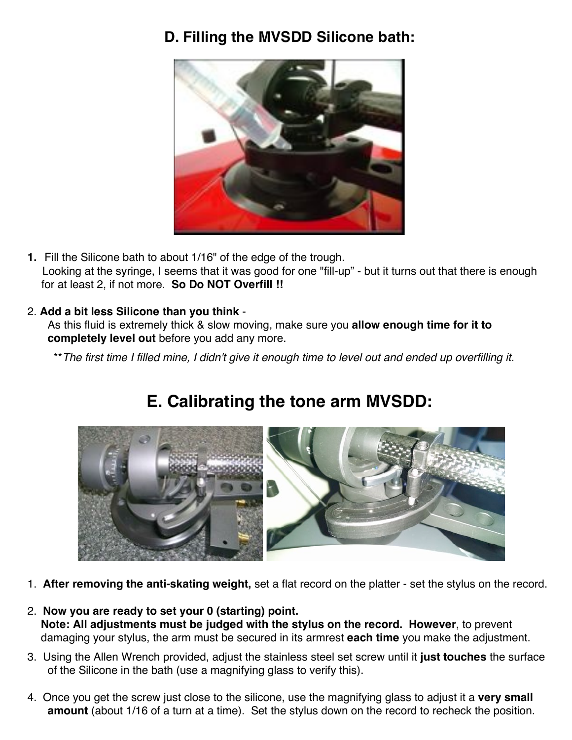### **D. Filling the MVSDD Silicone bath:**



**1.** Fill the Silicone bath to about 1/16" of the edge of the trough. Looking at the syringe, I seems that it was good for one "fill-up" - but it turns out that there is enough for at least 2, if not more. **So Do NOT Overfill !!**

#### 2. **Add a bit less Silicone than you think** -

As this fluid is extremely thick & slow moving, make sure you **allow enough time for it to completely level out** before you add any more.

\*\**The first time I filled mine, I didn't give it enough time to level out and ended up overfilling it.*

# **E. Calibrating the tone arm MVSDD:**



- 1. **After removing the anti-skating weight,** set a flat record on the platter set the stylus on the record.
- 2. **Now you are ready to set your 0 (starting) point. Note: All adjustments must be judged with the stylus on the record. However**, to prevent damaging your stylus, the arm must be secured in its armrest **each time** you make the adjustment.
- 3. Using the Allen Wrench provided, adjust the stainless steel set screw until it **just touches** the surface of the Silicone in the bath (use a magnifying glass to verify this).
- 4. Once you get the screw just close to the silicone, use the magnifying glass to adjust it a **very small amount** (about 1/16 of a turn at a time). Set the stylus down on the record to recheck the position.